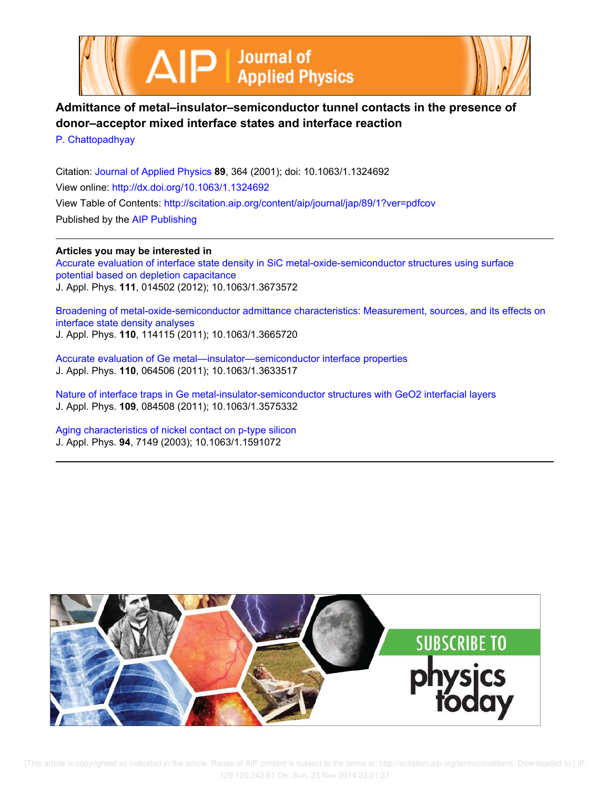



# **Admittance of metal–insulator–semiconductor tunnel contacts in the presence of donor–acceptor mixed interface states and interface reaction**

P. Chattopadhyay

Citation: Journal of Applied Physics **89**, 364 (2001); doi: 10.1063/1.1324692 View online: http://dx.doi.org/10.1063/1.1324692 View Table of Contents: http://scitation.aip.org/content/aip/journal/jap/89/1?ver=pdfcov Published by the AIP Publishing

**Articles you may be interested in** Accurate evaluation of interface state density in SiC metal-oxide-semiconductor structures using surface potential based on depletion capacitance J. Appl. Phys. **111**, 014502 (2012); 10.1063/1.3673572

Broadening of metal-oxide-semiconductor admittance characteristics: Measurement, sources, and its effects on interface state density analyses J. Appl. Phys. **110**, 114115 (2011); 10.1063/1.3665720

Accurate evaluation of Ge metal—insulator—semiconductor interface properties J. Appl. Phys. **110**, 064506 (2011); 10.1063/1.3633517

Nature of interface traps in Ge metal-insulator-semiconductor structures with GeO2 interfacial layers J. Appl. Phys. **109**, 084508 (2011); 10.1063/1.3575332

Aging characteristics of nickel contact on p-type silicon J. Appl. Phys. **94**, 7149 (2003); 10.1063/1.1591072



 [This article is copyrighted as indicated in the article. Reuse of AIP content is subject to the terms at: http://scitation.aip.org/termsconditions. Downloaded to ] IP: 129.120.242.61 On: Sun, 23 Nov 2014 23:01:27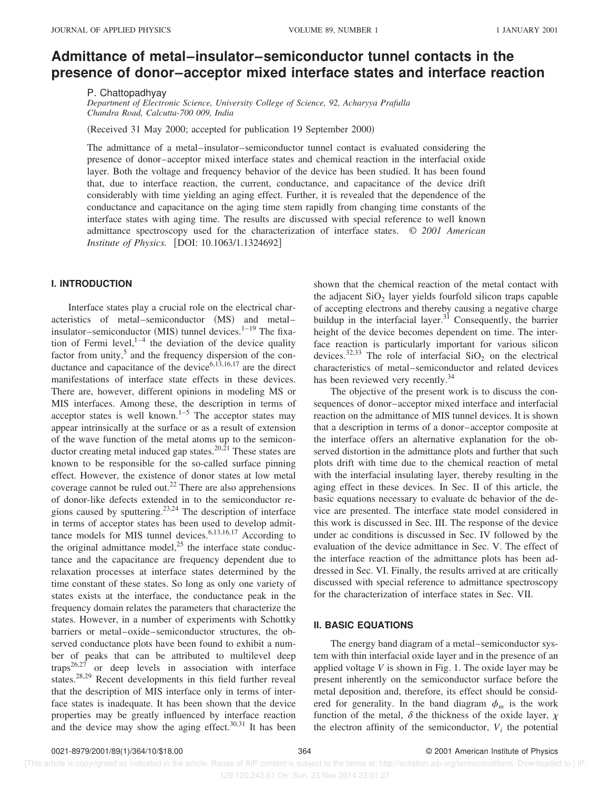# **Admittance of metal–insulator–semiconductor tunnel contacts in the presence of donor–acceptor mixed interface states and interface reaction**

P. Chattopadhyay

*Department of Electronic Science, University College of Science, 92, Acharyya Prafulla Chandra Road, Calcutta-700 009, India*

(Received 31 May 2000; accepted for publication 19 September 2000)

The admittance of a metal–insulator–semiconductor tunnel contact is evaluated considering the presence of donor–acceptor mixed interface states and chemical reaction in the interfacial oxide layer. Both the voltage and frequency behavior of the device has been studied. It has been found that, due to interface reaction, the current, conductance, and capacitance of the device drift considerably with time yielding an aging effect. Further, it is revealed that the dependence of the conductance and capacitance on the aging time stem rapidly from changing time constants of the interface states with aging time. The results are discussed with special reference to well known admittance spectroscopy used for the characterization of interface states. © *2001 American Institute of Physics.* [DOI: 10.1063/1.1324692]

## **I. INTRODUCTION**

Interface states play a crucial role on the electrical characteristics of metal–semiconductor (MS) and metal– insulator–semiconductor (MIS) tunnel devices. $1-19$  The fixation of Fermi level, $1-4$  the deviation of the device quality factor from unity,<sup>5</sup> and the frequency dispersion of the conductance and capacitance of the device<sup>6,13,16,17</sup> are the direct manifestations of interface state effects in these devices. There are, however, different opinions in modeling MS or MIS interfaces. Among these, the description in terms of acceptor states is well known.<sup>1–5</sup> The acceptor states may appear intrinsically at the surface or as a result of extension of the wave function of the metal atoms up to the semiconductor creating metal induced gap states.<sup>20,21</sup> These states are known to be responsible for the so-called surface pinning effect. However, the existence of donor states at low metal coverage cannot be ruled out.<sup>22</sup> There are also apprehensions of donor-like defects extended in to the semiconductor regions caused by sputtering.<sup>23,24</sup> The description of interface in terms of acceptor states has been used to develop admittance models for MIS tunnel devices. $6,13,16,17$  According to the original admittance model, $^{25}$  the interface state conductance and the capacitance are frequency dependent due to relaxation processes at interface states determined by the time constant of these states. So long as only one variety of states exists at the interface, the conductance peak in the frequency domain relates the parameters that characterize the states. However, in a number of experiments with Schottky barriers or metal–oxide–semiconductor structures, the observed conductance plots have been found to exhibit a number of peaks that can be attributed to multilevel deep traps<sup>26,27</sup> or deep levels in association with interface states.28,29 Recent developments in this field further reveal that the description of MIS interface only in terms of interface states is inadequate. It has been shown that the device properties may be greatly influenced by interface reaction and the device may show the aging effect. $30,31$  It has been

shown that the chemical reaction of the metal contact with the adjacent  $SiO<sub>2</sub>$  layer yields fourfold silicon traps capable of accepting electrons and thereby causing a negative charge buildup in the interfacial layer.<sup>31</sup> Consequently, the barrier height of the device becomes dependent on time. The interface reaction is particularly important for various silicon devices.<sup>32,33</sup> The role of interfacial  $SiO<sub>2</sub>$  on the electrical characteristics of metal–semiconductor and related devices has been reviewed very recently.<sup>34</sup>

The objective of the present work is to discuss the consequences of donor–acceptor mixed interface and interfacial reaction on the admittance of MIS tunnel devices. It is shown that a description in terms of a donor–acceptor composite at the interface offers an alternative explanation for the observed distortion in the admittance plots and further that such plots drift with time due to the chemical reaction of metal with the interfacial insulating layer, thereby resulting in the aging effect in these devices. In Sec. II of this article, the basic equations necessary to evaluate dc behavior of the device are presented. The interface state model considered in this work is discussed in Sec. III. The response of the device under ac conditions is discussed in Sec. IV followed by the evaluation of the device admittance in Sec. V. The effect of the interface reaction of the admittance plots has been addressed in Sec. VI. Finally, the results arrived at are critically discussed with special reference to admittance spectroscopy for the characterization of interface states in Sec. VII.

### **II. BASIC EQUATIONS**

The energy band diagram of a metal–semiconductor system with thin interfacial oxide layer and in the presence of an applied voltage *V* is shown in Fig. 1. The oxide layer may be present inherently on the semiconductor surface before the metal deposition and, therefore, its effect should be considered for generality. In the band diagram  $\phi_m$  is the work function of the metal,  $\delta$  the thickness of the oxide layer,  $\chi$ the electron affinity of the semiconductor,  $V_i$  the potential

 [This article is copyrighted as indicated in the article. Reuse of AIP content is subject to the terms at: http://scitation.aip.org/termsconditions. Downloaded to ] IP: 129.120.242.61 On: Sun, 23 Nov 2014 23:01:27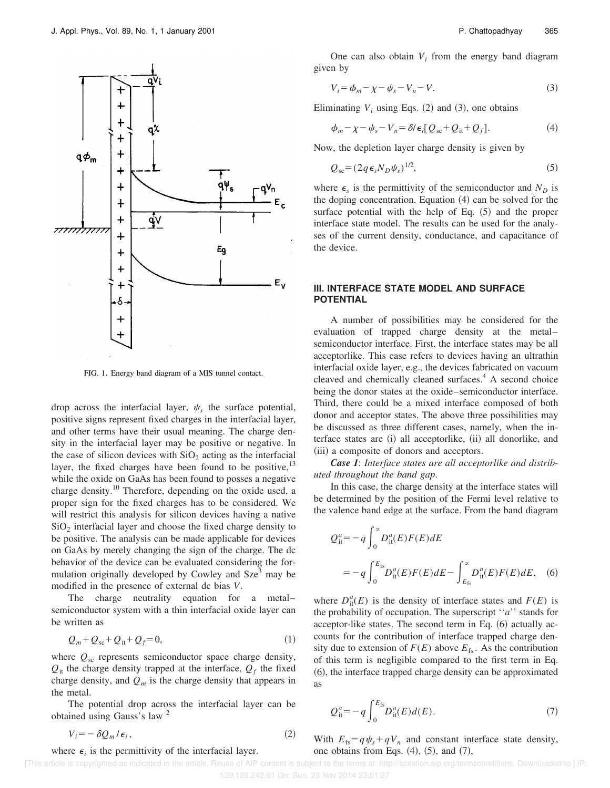

FIG. 1. Energy band diagram of a MIS tunnel contact.

drop across the interfacial layer,  $\psi_s$  the surface potential, positive signs represent fixed charges in the interfacial layer, and other terms have their usual meaning. The charge density in the interfacial layer may be positive or negative. In the case of silicon devices with  $SiO<sub>2</sub>$  acting as the interfacial layer, the fixed charges have been found to be positive,  $13$ while the oxide on GaAs has been found to posses a negative charge density.<sup>10</sup> Therefore, depending on the oxide used, a proper sign for the fixed charges has to be considered. We will restrict this analysis for silicon devices having a native  $SiO<sub>2</sub>$  interfacial layer and choose the fixed charge density to be positive. The analysis can be made applicable for devices on GaAs by merely changing the sign of the charge. The dc behavior of the device can be evaluated considering the formulation originally developed by Cowley and  $Sze<sup>3</sup>$  may be modified in the presence of external dc bias *V*.

The charge neutrality equation for a metal– semiconductor system with a thin interfacial oxide layer can be written as

$$
Q_m + Q_{sc} + Q_{it} + Q_f = 0,\tag{1}
$$

where  $Q_{\rm sc}$  represents semiconductor space charge density,  $Q_{it}$  the charge density trapped at the interface,  $Q_f$  the fixed charge density, and  $Q_m$  is the charge density that appears in the metal.

The potential drop across the interfacial layer can be obtained using Gauss's law <sup>2</sup>

where  $\epsilon_i$  is the permittivity of the interfacial layer.

$$
V_i = -\delta Q_m / \epsilon_i, \qquad (2)
$$

One can also obtain  $V_i$  from the energy band diagram given by

$$
V_i = \phi_m - \chi - \psi_s - V_n - V. \tag{3}
$$

Eliminating  $V_i$  using Eqs. (2) and (3), one obtains

$$
\phi_m - \chi - \psi_s - V_n = \delta / \epsilon_i [Q_{sc} + Q_{it} + Q_f]. \tag{4}
$$

Now, the depletion layer charge density is given by

$$
Q_{\rm sc} = (2q \,\epsilon_s N_D \psi_s)^{1/2},\tag{5}
$$

where  $\epsilon_s$  is the permittivity of the semiconductor and  $N_D$  is the doping concentration. Equation  $(4)$  can be solved for the surface potential with the help of Eq.  $(5)$  and the proper interface state model. The results can be used for the analyses of the current density, conductance, and capacitance of the device.

### **III. INTERFACE STATE MODEL AND SURFACE POTENTIAL**

A number of possibilities may be considered for the evaluation of trapped charge density at the metal– semiconductor interface. First, the interface states may be all acceptorlike. This case refers to devices having an ultrathin interfacial oxide layer, e.g., the devices fabricated on vacuum cleaved and chemically cleaned surfaces.<sup>4</sup> A second choice being the donor states at the oxide–semiconductor interface. Third, there could be a mixed interface composed of both donor and acceptor states. The above three possibilities may be discussed as three different cases, namely, when the interface states are (i) all acceptorlike, (ii) all donorlike, and (iii) a composite of donors and acceptors.

*Case 1*: *Interface states are all acceptorlike and distributed throughout the band gap*.

In this case, the charge density at the interface states will be determined by the position of the Fermi level relative to the valence band edge at the surface. From the band diagram

$$
Q_{\rm it}^a = -q \int_0^\infty D_{\rm it}^a(E) F(E) dE
$$
  
= 
$$
-q \int_0^{E_{\rm fs}} D_{\rm it}^a(E) F(E) dE - \int_{E_{\rm fs}}^\infty D_{\rm it}^a(E) F(E) dE, \quad (6)
$$

where  $D_{\text{it}}^a(E)$  is the density of interface states and  $F(E)$  is the probability of occupation. The superscript ''*a*'' stands for acceptor-like states. The second term in Eq.  $(6)$  actually accounts for the contribution of interface trapped charge density due to extension of  $F(E)$  above  $E_{fs}$ . As the contribution of this term is negligible compared to the first term in Eq.  $(6)$ , the interface trapped charge density can be approximated as

$$
Q_{\rm it}^a = -q \int_0^{E_{\rm fs}} D_{\rm it}^a(E) d(E). \tag{7}
$$

With  $E_{fs} = q\psi_s + qV_n$  and constant interface state density, one obtains from Eqs.  $(4)$ ,  $(5)$ , and  $(7)$ ,

 [This article is copyrighted as indicated in the article. Reuse of AIP content is subject to the terms at: http://scitation.aip.org/termsconditions. Downloaded to ] IP: 129.120.242.61 On: Sun, 23 Nov 2014 23:01:27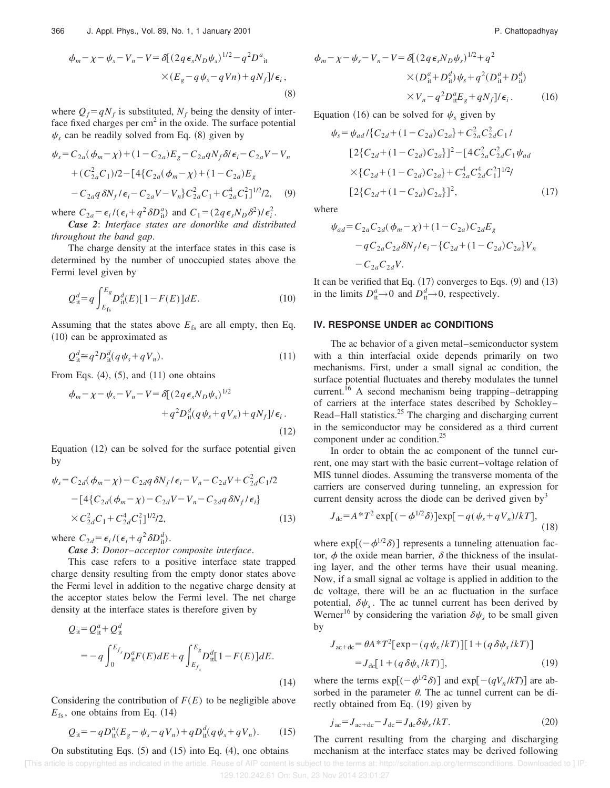$$
\phi_m - \chi - \psi_s - V_n - V = \delta \left[ (2q \epsilon_s N_D \psi_s)^{1/2} - q^2 D^a_{\text{ it}} \times (E_g - q \psi_s - q V n) + q N_f \right] / \epsilon_i,
$$
\n(8)

where  $Q_f = qN_f$  is substituted,  $N_f$  being the density of interface fixed charges per  $cm<sup>2</sup>$  in the oxide. The surface potential  $\psi_s$  can be readily solved from Eq. (8) given by

$$
\psi_s = C_{2a}(\phi_m - \chi) + (1 - C_{2a})E_g - C_{2a}qN_f\delta/\epsilon_i - C_{2a}V - V_n
$$
  
+ 
$$
(C_{2a}^2C_1)/2 - [4\{C_{2a}(\phi_m - \chi) + (1 - C_{2a})E_g
$$
  
- 
$$
C_{2a}q\delta N_f/\epsilon_i - C_{2a}V - V_n\}C_{2a}^2C_1 + C_{2a}^4C_1^2]^{1/2}/2,
$$
 (9)

where  $C_{2a} = \epsilon_i / (\epsilon_i + q^2 \delta D_{ii}^a)$  and  $C_1 = (2q \epsilon_s N_D \delta^2) / \epsilon_i^2$ .

*Case 2*: *Interface states are donorlike and distributed throughout the band gap*.

The charge density at the interface states in this case is determined by the number of unoccupied states above the Fermi level given by

$$
Q_{\rm it}^d = q \int_{E_{\rm fs}}^{E_g} D_{\rm it}^d(E) [1 - F(E)] dE.
$$
 (10)

Assuming that the states above  $E_{fs}$  are all empty, then Eq.  $(10)$  can be approximated as

$$
Q_{\rm it}^d \cong q^2 D_{\rm it}^d (q \psi_s + q V_n). \tag{11}
$$

From Eqs.  $(4)$ ,  $(5)$ , and  $(11)$  one obtains

$$
\phi_m - \chi - \psi_s - V_n - V = \delta \left[ (2q \epsilon_s N_D \psi_s)^{1/2} + q^2 D_{\text{it}}^d (q \psi_s + q V_n) + q N_f \right] / \epsilon_i \,. \tag{12}
$$

Equation  $(12)$  can be solved for the surface potential given by

$$
\psi_s = C_{2d}(\phi_m - \chi) - C_{2d}q \, \delta N_f / \epsilon_i - V_n - C_{2d}V + C_{2d}^2 C_1 / 2
$$
  
- 
$$
[4\{C_{2d}(\phi_m - \chi) - C_{2d}V - V_n - C_{2d}q \, \delta N_f / \epsilon_i\} \times C_{2d}^2 C_1 + C_{2d}^4 C_1^2]^{1/2} / 2,
$$
 (13)

where  $C_{2d} = \epsilon_i / (\epsilon_i + q^2 \delta D_{\text{it}}^d)$ .

*Case 3*: *Donor*–*acceptor composite interface*.

This case refers to a positive interface state trapped charge density resulting from the empty donor states above the Fermi level in addition to the negative charge density at the acceptor states below the Fermi level. The net charge density at the interface states is therefore given by

$$
Q_{it} = Q_{it}^{a} + Q_{it}^{d}
$$
  
=  $-q \int_{0}^{E_{f_s}} D_{it}^{a} F(E) dE + q \int_{E_{f_s}}^{E_g} D_{it}^{d} [1 - F(E)] dE.$  (14)

Considering the contribution of  $F(E)$  to be negligible above  $E_{\text{fs}}$ , one obtains from Eq.  $(14)$ 

$$
Q_{it} = -qD_{it}^{a}(E_{g} - \psi_{s} - qV_{n}) + qD_{it}^{d}(q\psi_{s} + qV_{n}).
$$
 (15)

## On substituting Eqs.  $(5)$  and  $(15)$  into Eq.  $(4)$ , one obtains

$$
\phi_m - \chi - \psi_s - V_n - V = \delta [(2q \epsilon_s N_D \psi_s)^{1/2} + q^2
$$
  
×  $(D_{it}^a + D_{it}^d) \psi_s + q^2 (D_{it}^a + D_{it}^d)$   
×  $V_n - q^2 D_{it}^a E_g + q N_f ] / \epsilon_i$ . (16)

Equation (16) can be solved for  $\psi_s$  given by

$$
\psi_s = \psi_{ad} / \{C_{2d} + (1 - C_{2d})C_{2a}\} + C_{2a}^2 C_{2d}^2 C_1 / \
$$
  
\n
$$
[2\{C_{2d} + (1 - C_{2d})C_{2a}\}]^2 - [4C_{2a}^2 C_{2d}^2 C_1 \psi_{ad}
$$
  
\n
$$
\times \{C_{2d} + (1 - C_{2d})C_{2a}\} + C_{2a}^4 C_{2d}^4 C_1^2]^{1/2} / \
$$
  
\n
$$
[2\{C_{2d} + (1 - C_{2d})C_{2a}\}]^2, \tag{17}
$$

where

$$
\psi_{ad} = C_{2a}C_{2d}(\phi_m - \chi) + (1 - C_{2a})C_{2d}E_g
$$
  
-  $qC_{2a}C_{2d}\delta N_f/\epsilon_i - \{C_{2d} + (1 - C_{2d})C_{2a}\}V_n$   
-  $C_{2a}C_{2d}V$ .

It can be verified that Eq.  $(17)$  converges to Eqs.  $(9)$  and  $(13)$ in the limits  $D_{it}^a \rightarrow 0$  and  $D_{it}^d \rightarrow 0$ , respectively.

#### **IV. RESPONSE UNDER ac CONDITIONS**

The ac behavior of a given metal–semiconductor system with a thin interfacial oxide depends primarily on two mechanisms. First, under a small signal ac condition, the surface potential fluctuates and thereby modulates the tunnel current.<sup>16</sup> A second mechanism being trapping–detrapping of carriers at the interface states described by Schokley– Read–Hall statistics.<sup>25</sup> The charging and discharging current in the semiconductor may be considered as a third current component under ac condition.<sup>25</sup>

In order to obtain the ac component of the tunnel current, one may start with the basic current–voltage relation of MIS tunnel diodes. Assuming the transverse momenta of the carriers are conserved during tunneling, an expression for current density across the diode can be derived given by<sup>3</sup>

$$
J_{\text{dc}} = A^* T^2 \exp[(-\phi^{1/2} \delta)] \exp[-q(\psi_s + qV_n)/kT],
$$
\n(18)

where  $\exp[(-\phi^{1/2}\delta)]$  represents a tunneling attenuation factor,  $\phi$  the oxide mean barrier,  $\delta$  the thickness of the insulating layer, and the other terms have their usual meaning. Now, if a small signal ac voltage is applied in addition to the dc voltage, there will be an ac fluctuation in the surface potential,  $\delta \psi_s$ . The ac tunnel current has been derived by Werner<sup>16</sup> by considering the variation  $\delta \psi_s$  to be small given by

$$
J_{ac+dc} = \theta A^* T^2 [\exp - (q\psi_s/kT)][1 + (q\delta\psi_s/kT)]
$$
  
= 
$$
J_{dc}[1 + (q\delta\psi_s/kT)],
$$
 (19)

where the terms  $\exp[(-\phi^{1/2}\delta)]$  and  $\exp[-(qV_n/kT)]$  are absorbed in the parameter  $\theta$ . The ac tunnel current can be directly obtained from Eq.  $(19)$  given by

$$
j_{ac} = J_{ac+dc} - J_{dc} = J_{dc} \delta \psi_s / kT.
$$
 (20)

The current resulting from the charging and discharging mechanism at the interface states may be derived following

[This article is copyrighted as indicated in the article. Reuse of AIP content is subject to the terms at: http://scitation.aip.org/termsconditions. Downloaded to ] IP: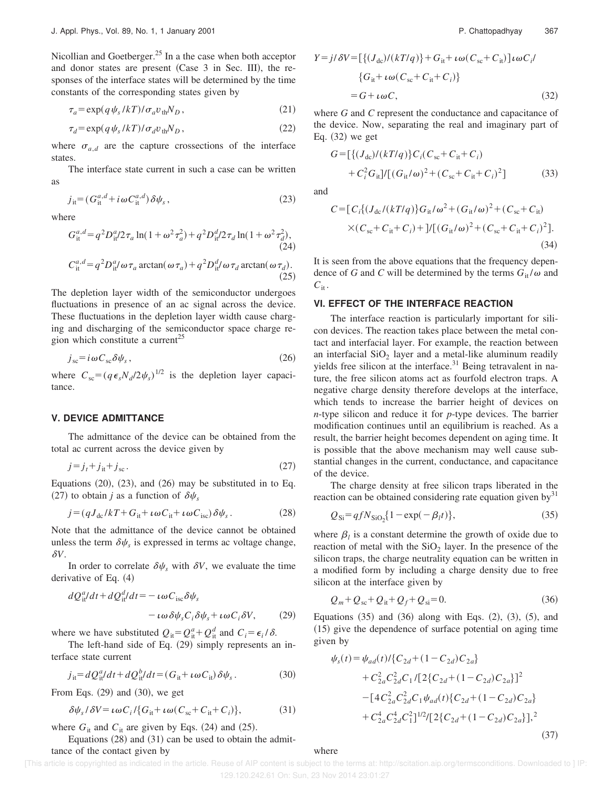Nicollian and Goetberger.<sup>25</sup> In a the case when both acceptor and donor states are present (Case  $3$  in Sec. III), the responses of the interface states will be determined by the time constants of the corresponding states given by

$$
\tau_a = \exp(q \psi_s / kT) / \sigma_a v_{\text{th}} N_D, \qquad (21)
$$

$$
\tau_d = \exp(q \psi_s / kT) / \sigma_d v_{\text{th}} N_D, \qquad (22)
$$

where  $\sigma_{a,d}$  are the capture crossections of the interface states.

The interface state current in such a case can be written as

$$
j_{\rm it} = (G_{\rm it}^{a,d} + i\,\omega C_{\rm it}^{a,d}) \,\delta \psi_s \,, \tag{23}
$$

where

$$
G_{\rm it}^{a,d} = q^2 D_{\rm it}^a / 2 \tau_a \ln(1 + \omega^2 \tau_a^2) + q^2 D_{\rm it}^d / 2 \tau_d \ln(1 + \omega^2 \tau_d^2),
$$
\n(24)

$$
C_{\rm it}^{a,d} = q^2 D_{\rm it}^a / \omega \tau_a \arctan(\omega \tau_a) + q^2 D_{\rm it}^d / \omega \tau_d \arctan(\omega \tau_d). \tag{25}
$$

The depletion layer width of the semiconductor undergoes fluctuations in presence of an ac signal across the device. These fluctuations in the depletion layer width cause charging and discharging of the semiconductor space charge region which constitute a current<sup>25</sup>

$$
j_{\rm sc} = i \,\omega \, C_{\rm sc} \delta \psi_s \,,\tag{26}
$$

where  $C_{\text{sc}} = (q \epsilon_s N_d / 2 \psi_s)^{1/2}$  is the depletion layer capacitance.

#### **V. DEVICE ADMITTANCE**

The admittance of the device can be obtained from the total ac current across the device given by

$$
j = j_t + j_{it} + j_{sc}.
$$
 (27)

Equations  $(20)$ ,  $(23)$ , and  $(26)$  may be substituted in to Eq.  $(27)$  to obtain *j* as a function of  $\delta \psi$ .

$$
j = (qJ_{\text{dc}}/kT + G_{\text{it}} + \iota \omega C_{\text{it}} + \iota \omega C_{\text{isc}}) \delta \psi_s. \tag{28}
$$

Note that the admittance of the device cannot be obtained unless the term  $\delta \psi_s$  is expressed in terms ac voltage change,  $\delta V$ .

In order to correlate  $\delta \psi_s$  with  $\delta V$ , we evaluate the time derivative of Eq.  $(4)$ 

$$
dQ_{\rm it}^a/dt + dQ_{\rm it}^d/dt = -\iota \omega C_{\rm isc} \delta \psi_s
$$
  

$$
-\iota \omega \delta \psi_s C_i \delta \psi_s + \iota \omega C_i \delta V, \qquad (29)
$$

where we have substituted  $Q_{it} = Q_{it}^a + Q_{it}^d$  and  $C_i = \epsilon_i / \delta$ .

The left-hand side of Eq.  $(29)$  simply represents an interface state current

$$
j_{it} = dQ_{it}^a/dt + dQ_{it}^b/dt = (G_{it} + \iota \omega C_{it}) \delta \psi_s.
$$
 (30)

From Eqs.  $(29)$  and  $(30)$ , we get

$$
\delta \psi_s / \delta V = \iota \omega C_i / \{ G_{it} + \iota \omega (C_{sc} + C_{it} + C_i) \},\tag{31}
$$

where  $G_{it}$  and  $C_{it}$  are given by Eqs. (24) and (25).

Equations  $(28)$  and  $(31)$  can be used to obtain the admit-

$$
Y = j/\delta V = \left[\left\{(J_{dc})/(kT/q)\right\} + G_{it} + \iota\omega(C_{sc} + C_{it})\right]\iota\omega C_{i'}
$$
  

$$
\left\{G_{it} + \iota\omega(C_{sc} + C_{it} + C_{i})\right\}
$$
  

$$
= G + \iota\omega C,
$$
 (32)

where *G* and *C* represent the conductance and capacitance of the device. Now, separating the real and imaginary part of Eq.  $(32)$  we get

$$
G = \left[ \left\{ (J_{\text{dc}})/(kT/q) \right\} C_i (C_{\text{sc}} + C_{\text{it}} + C_i) + C_i^2 G_{\text{it}} / [(G_{\text{it}}/\omega)^2 + (C_{\text{sc}} + C_{\text{it}} + C_i)^2] \right]
$$
(33)

and

$$
C = [C_i\{(J_{dc}/(kT/q)\}G_{it}/\omega^2 + (G_{it}/\omega)^2 + (C_{sc} + C_{it})
$$
  
× $(C_{sc} + C_{it} + C_i) + ]/[(G_{it}/\omega)^2 + (C_{sc} + C_{it} + C_i)^2].$  (34)

It is seen from the above equations that the frequency dependence of *G* and *C* will be determined by the terms  $G_{it}/\omega$  and  $C_{\rm it}$ .

## **VI. EFFECT OF THE INTERFACE REACTION**

The interface reaction is particularly important for silicon devices. The reaction takes place between the metal contact and interfacial layer. For example, the reaction between an interfacial  $SiO<sub>2</sub>$  layer and a metal-like aluminum readily yields free silicon at the interface. $31$  Being tetravalent in nature, the free silicon atoms act as fourfold electron traps. A negative charge density therefore develops at the interface, which tends to increase the barrier height of devices on *n*-type silicon and reduce it for *p*-type devices. The barrier modification continues until an equilibrium is reached. As a result, the barrier height becomes dependent on aging time. It is possible that the above mechanism may well cause substantial changes in the current, conductance, and capacitance of the device.

The charge density at free silicon traps liberated in the reaction can be obtained considering rate equation given by $31$ 

$$
Q_{\text{Si}} = qfN_{\text{SiO}_2}\left\{1 - \exp(-\beta_t t)\right\},\tag{35}
$$

where  $\beta_l$  is a constant determine the growth of oxide due to reaction of metal with the  $SiO<sub>2</sub>$  layer. In the presence of the silicon traps, the charge neutrality equation can be written in a modified form by including a charge density due to free silicon at the interface given by

$$
Q_m + Q_{sc} + Q_{it} + Q_f + Q_{si} = 0.
$$
 (36)

Equations  $(35)$  and  $(36)$  along with Eqs.  $(2)$ ,  $(3)$ ,  $(5)$ , and  $(15)$  give the dependence of surface potential on aging time given by

$$
\psi_s(t) = \psi_{ad}(t) / \{C_{2d} + (1 - C_{2d})C_{2a}\}\
$$
  
+  $C_{2a}^2 C_{2d}^2 C_1 / [2\{C_{2d} + (1 - C_{2d})C_{2a}\}]^2$   
-  $[4C_{2a}^2 C_{2d}^2 C_1 \psi_{ad}(t)\{C_{2d} + (1 - C_{2d})C_{2a}\}\$   
+  $C_{2a}^4 C_{2d}^4 C_1^2]^{1/2} / [2\{C_{2d} + (1 - C_{2d})C_{2a}\}]$ ,<sup>2</sup> (37)

tance of the contact given by

where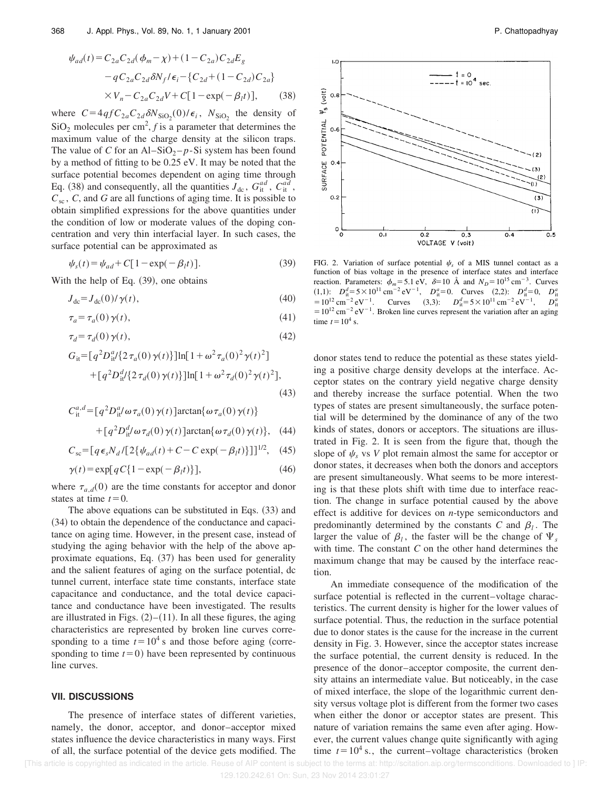$$
\psi_{ad}(t) = C_{2a}C_{2d}(\phi_m - \chi) + (1 - C_{2a})C_{2d}E_g
$$
  
\n
$$
-qC_{2a}C_{2d}\delta N_f/\epsilon_i - \{C_{2d} + (1 - C_{2d})C_{2a}\}\times V_n - C_{2a}C_{2d}V + C[1 - \exp(-\beta_l t)],
$$
\n(38)

where  $C = 4qfC_{2a}C_{2d}\delta N_{\text{SiO}_2}(0)/\epsilon_i$ ,  $N_{\text{SiO}_2}$  the density of  $SiO<sub>2</sub>$  molecules per cm<sup>2</sup>, *f* is a parameter that determines the maximum value of the charge density at the silicon traps. The value of *C* for an Al–SiO<sub>2</sub>- $p$ -Si system has been found by a method of fitting to be 0.25 eV. It may be noted that the surface potential becomes dependent on aging time through Eq. (38) and consequently, all the quantities  $J_{dc}$ ,  $G_{it}^{ad}$ ,  $C_{it}^{ad}$  $C_{\rm sc}$ , *C*, and *G* are all functions of aging time. It is possible to obtain simplified expressions for the above quantities under the condition of low or moderate values of the doping concentration and very thin interfacial layer. In such cases, the surface potential can be approximated as

$$
\psi_s(t) = \psi_{ad} + C[1 - \exp(-\beta_l t)].
$$
\n(39)

With the help of Eq.  $(39)$ , one obtains

$$
J_{\text{dc}} = J_{\text{dc}}(0) / \gamma(t),\tag{40}
$$

$$
\tau_a = \tau_a(0)\,\gamma(t),\tag{41}
$$

$$
\tau_d = \tau_d(0)\,\gamma(t),\tag{42}
$$

$$
G_{\rm it} = [q^2 D_{\rm it}^a / {2 \tau_a(0) \gamma(t)} ] \ln [1 + \omega^2 \tau_a(0)^2 \gamma(t)^2]
$$
  
+ 
$$
[q^2 D_{\rm it}^d / {2 \tau_d(0) \gamma(t)} ] \ln [1 + \omega^2 \tau_d(0)^2 \gamma(t)^2],
$$
\n(43)

$$
C_{\rm it}^{a,d} = [q^2 D_{\rm it}^a/\omega \tau_a(0) \gamma(t)] \arctan{\omega \tau_a(0) \gamma(t)}
$$
  
+ 
$$
[q^2 D_{\rm it}^d/\omega \tau_d(0) \gamma(t)] \arctan{\omega \tau_d(0) \gamma(t)}, \quad (44)
$$

$$
C_{\rm sc} = [q \epsilon_s N_d / [2\{\psi_{ad}(t) + C - C \exp(-\beta_l t)\}]]^{1/2}, \quad (45)
$$

$$
\gamma(t) = \exp[qC\{1 - \exp(-\beta_t t)\}],\tag{46}
$$

where  $\tau_{a,d}(0)$  are the time constants for acceptor and donor states at time  $t=0$ .

The above equations can be substituted in Eqs.  $(33)$  and  $(34)$  to obtain the dependence of the conductance and capacitance on aging time. However, in the present case, instead of studying the aging behavior with the help of the above approximate equations, Eq.  $(37)$  has been used for generality and the salient features of aging on the surface potential, dc tunnel current, interface state time constants, interface state capacitance and conductance, and the total device capacitance and conductance have been investigated. The results are illustrated in Figs.  $(2)$ – $(11)$ . In all these figures, the aging characteristics are represented by broken line curves corresponding to a time  $t=10^4$  s and those before aging (corresponding to time  $t=0$ ) have been represented by continuous line curves.

#### **VII. DISCUSSIONS**

The presence of interface states of different varieties, namely, the donor, acceptor, and donor–acceptor mixed states influence the device characteristics in many ways. First of all, the surface potential of the device gets modified. The



FIG. 2. Variation of surface potential  $\psi_s$  of a MIS tunnel contact as a function of bias voltage in the presence of interface states and interface reaction. Parameters:  $\phi_m$  = 5.1 eV,  $\delta$ =10 Å and  $N_D$  = 10<sup>15</sup> cm<sup>-3</sup>. Curves  $(1,1):$   $D_{it}^d = 5 \times 10^{11} \text{ cm}^{-2} \text{ eV}^{-1}$ ,  $D_{it}^d = 0$ . Curves  $(2,2):$   $D_{it}^d = 0$ ,  $D_{it}^d$  $=10^{12} \text{ cm}^{-2} \text{ eV}^{-1}$ . Curves (3,3):  $D_{\text{it}}^d = 5 \times 10^{11} \text{ cm}^{-2} \text{ eV}^{-1}$ ,  $D_{\text{it}}^d$  $=10^{12}$  cm<sup>-2</sup> eV<sup>-1</sup>. Broken line curves represent the variation after an aging time  $t = 10^4$  s.

donor states tend to reduce the potential as these states yielding a positive charge density develops at the interface. Acceptor states on the contrary yield negative charge density and thereby increase the surface potential. When the two types of states are present simultaneously, the surface potential will be determined by the dominance of any of the two kinds of states, donors or acceptors. The situations are illustrated in Fig. 2. It is seen from the figure that, though the slope of  $\psi_s$  vs *V* plot remain almost the same for acceptor or donor states, it decreases when both the donors and acceptors are present simultaneously. What seems to be more interesting is that these plots shift with time due to interface reaction. The change in surface potential caused by the above effect is additive for devices on *n*-type semiconductors and predominantly determined by the constants  $C$  and  $\beta_l$ . The larger the value of  $\beta_l$ , the faster will be the change of  $\Psi_s$ with time. The constant *C* on the other hand determines the maximum change that may be caused by the interface reaction.

An immediate consequence of the modification of the surface potential is reflected in the current–voltage characteristics. The current density is higher for the lower values of surface potential. Thus, the reduction in the surface potential due to donor states is the cause for the increase in the current density in Fig. 3. However, since the acceptor states increase the surface potential, the current density is reduced. In the presence of the donor–acceptor composite, the current density attains an intermediate value. But noticeably, in the case of mixed interface, the slope of the logarithmic current density versus voltage plot is different from the former two cases when either the donor or acceptor states are present. This nature of variation remains the same even after aging. However, the current values change quite significantly with aging time  $t=10^4$  s., the current–voltage characteristics (broken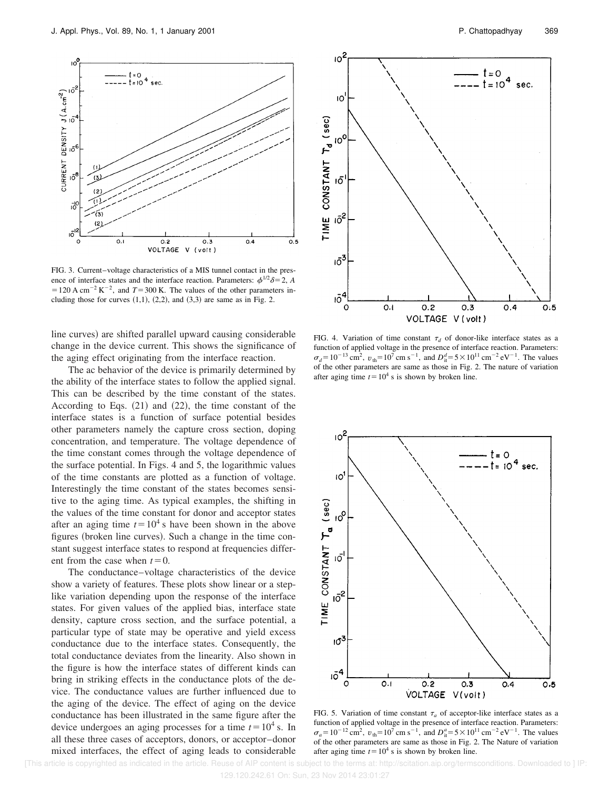

FIG. 3. Current–voltage characteristics of a MIS tunnel contact in the presence of interface states and the interface reaction. Parameters:  $\phi^{1/2}\delta$  = 2, *A*  $=120 \text{ A cm}^{-2} \text{ K}^{-2}$ , and  $T=300 \text{ K}$ . The values of the other parameters including those for curves  $(1,1)$ ,  $(2,2)$ , and  $(3,3)$  are same as in Fig. 2.

line curves) are shifted parallel upward causing considerable change in the device current. This shows the significance of the aging effect originating from the interface reaction.

The ac behavior of the device is primarily determined by the ability of the interface states to follow the applied signal. This can be described by the time constant of the states. According to Eqs.  $(21)$  and  $(22)$ , the time constant of the interface states is a function of surface potential besides other parameters namely the capture cross section, doping concentration, and temperature. The voltage dependence of the time constant comes through the voltage dependence of the surface potential. In Figs. 4 and 5, the logarithmic values of the time constants are plotted as a function of voltage. Interestingly the time constant of the states becomes sensitive to the aging time. As typical examples, the shifting in the values of the time constant for donor and acceptor states after an aging time  $t=10^4$  s have been shown in the above figures (broken line curves). Such a change in the time constant suggest interface states to respond at frequencies different from the case when  $t=0$ .

The conductance–voltage characteristics of the device show a variety of features. These plots show linear or a steplike variation depending upon the response of the interface states. For given values of the applied bias, interface state density, capture cross section, and the surface potential, a particular type of state may be operative and yield excess conductance due to the interface states. Consequently, the total conductance deviates from the linearity. Also shown in the figure is how the interface states of different kinds can bring in striking effects in the conductance plots of the device. The conductance values are further influenced due to the aging of the device. The effect of aging on the device conductance has been illustrated in the same figure after the device undergoes an aging processes for a time  $t = 10^4$  s. In all these three cases of acceptors, donors, or acceptor–donor mixed interfaces, the effect of aging leads to considerable



FIG. 4. Variation of time constant  $\tau_d$  of donor-like interface states as a function of applied voltage in the presence of interface reaction. Parameters:  $\sigma_d = 10^{-13}$  cm<sup>2</sup>,  $v_{\text{th}} = 10^7$  cm s<sup>-1</sup>, and  $D_{\text{it}}^d = 5 \times 10^{11}$  cm<sup>-2</sup> eV<sup>-1</sup>. The values of the other parameters are same as those in Fig. 2. The nature of variation after aging time  $t=10^4$  s is shown by broken line.



FIG. 5. Variation of time constant  $\tau_a$  of acceptor-like interface states as a function of applied voltage in the presence of interface reaction. Parameters:  $\sigma_a = 10^{-12}$  cm<sup>2</sup>,  $v_{\text{th}} = 10^7$  cm s<sup>-1</sup>, and  $D_{\text{it}}^a = 5 \times 10^{11}$  cm<sup>-2</sup> eV<sup>-1</sup>. The values of the other parameters are same as those in Fig. 2. The Nature of variation after aging time  $t=10^4$  s is shown by broken line.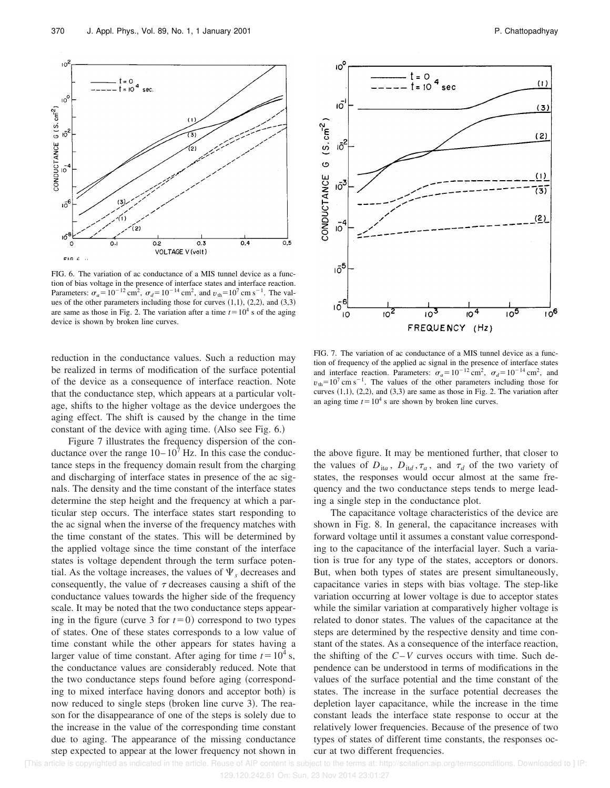

FIG. 6. The variation of ac conductance of a MIS tunnel device as a function of bias voltage in the presence of interface states and interface reaction. Parameters:  $\sigma_a = 10^{-12} \text{ cm}^2$ ,  $\sigma_d = 10^{-14} \text{ cm}^2$ , and  $v_{\text{th}} = 10^7 \text{ cm s}^{-1}$ . The values of the other parameters including those for curves  $(1,1)$ ,  $(2,2)$ , and  $(3,3)$ are same as those in Fig. 2. The variation after a time  $t=10^4$  s of the aging device is shown by broken line curves.

reduction in the conductance values. Such a reduction may be realized in terms of modification of the surface potential of the device as a consequence of interface reaction. Note that the conductance step, which appears at a particular voltage, shifts to the higher voltage as the device undergoes the aging effect. The shift is caused by the change in the time constant of the device with aging time.  $(A\text{lso see Fig. 6.})$ 

Figure 7 illustrates the frequency dispersion of the conductance over the range  $10-10<sup>7</sup>$  Hz. In this case the conductance steps in the frequency domain result from the charging and discharging of interface states in presence of the ac signals. The density and the time constant of the interface states determine the step height and the frequency at which a particular step occurs. The interface states start responding to the ac signal when the inverse of the frequency matches with the time constant of the states. This will be determined by the applied voltage since the time constant of the interface states is voltage dependent through the term surface potential. As the voltage increases, the values of  $\Psi_s$  decreases and consequently, the value of  $\tau$  decreases causing a shift of the conductance values towards the higher side of the frequency scale. It may be noted that the two conductance steps appearing in the figure (curve 3 for  $t=0$ ) correspond to two types of states. One of these states corresponds to a low value of time constant while the other appears for states having a larger value of time constant. After aging for time  $t=10^4$  s, the conductance values are considerably reduced. Note that the two conductance steps found before aging (corresponding to mixed interface having donors and acceptor both) is now reduced to single steps (broken line curve 3). The reason for the disappearance of one of the steps is solely due to the increase in the value of the corresponding time constant due to aging. The appearance of the missing conductance step expected to appear at the lower frequency not shown in



FIG. 7. The variation of ac conductance of a MIS tunnel device as a function of frequency of the applied ac signal in the presence of interface states and interface reaction. Parameters:  $\sigma_a = 10^{-12} \text{ cm}^2$ ,  $\sigma_d = 10^{-14} \text{ cm}^2$ , and  $v_{\text{th}}=10^7$  cm s<sup>-1</sup>. The values of the other parameters including those for curves  $(1,1)$ ,  $(2,2)$ , and  $(3,3)$  are same as those in Fig. 2. The variation after an aging time  $t=10^4$  s are shown by broken line curves.

the above figure. It may be mentioned further, that closer to the values of  $D_{\text{ita}}$ ,  $D_{\text{it}}$ ,  $\tau_a$ , and  $\tau_d$  of the two variety of states, the responses would occur almost at the same frequency and the two conductance steps tends to merge leading a single step in the conductance plot.

The capacitance voltage characteristics of the device are shown in Fig. 8. In general, the capacitance increases with forward voltage until it assumes a constant value corresponding to the capacitance of the interfacial layer. Such a variation is true for any type of the states, acceptors or donors. But, when both types of states are present simultaneously, capacitance varies in steps with bias voltage. The step-like variation occurring at lower voltage is due to acceptor states while the similar variation at comparatively higher voltage is related to donor states. The values of the capacitance at the steps are determined by the respective density and time constant of the states. As a consequence of the interface reaction, the shifting of the  $C-V$  curves occurs with time. Such dependence can be understood in terms of modifications in the values of the surface potential and the time constant of the states. The increase in the surface potential decreases the depletion layer capacitance, while the increase in the time constant leads the interface state response to occur at the relatively lower frequencies. Because of the presence of two types of states of different time constants, the responses occur at two different frequencies.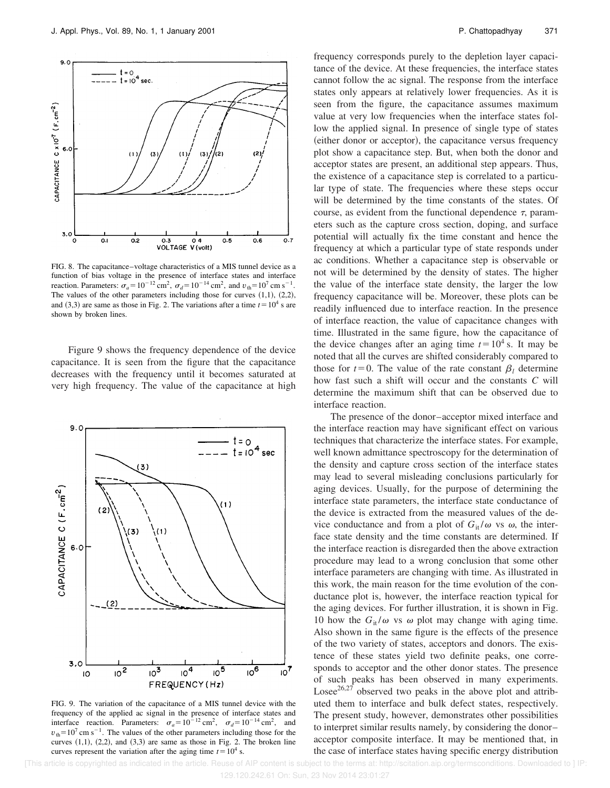

FIG. 8. The capacitance–voltage characteristics of a MIS tunnel device as a function of bias voltage in the presence of interface states and interface reaction. Parameters:  $\sigma_a = 10^{-12}$  cm<sup>2</sup>,  $\sigma_d = 10^{-14}$  cm<sup>2</sup>, and  $v_{\text{th}} = 10^7$  cm s<sup>-1</sup>. The values of the other parameters including those for curves  $(1,1)$ ,  $(2,2)$ , and  $(3,3)$  are same as those in Fig. 2. The variations after a time  $t=10^4$  s are shown by broken lines.

Figure 9 shows the frequency dependence of the device capacitance. It is seen from the figure that the capacitance decreases with the frequency until it becomes saturated at very high frequency. The value of the capacitance at high



FIG. 9. The variation of the capacitance of a MIS tunnel device with the frequency of the applied ac signal in the presence of interface states and interface reaction. Parameters:  $\sigma_a = 10^{-12} \text{ cm}^2$ ,  $\sigma_d = 10^{-14} \text{ cm}^2$ , and  $v_{\text{th}}$ =10<sup>7</sup> cm s<sup>-1</sup>. The values of the other parameters including those for the curves  $(1,1)$ ,  $(2,2)$ , and  $(3,3)$  are same as those in Fig. 2. The broken line curves represent the variation after the aging time  $t=10^4$  s.

frequency corresponds purely to the depletion layer capacitance of the device. At these frequencies, the interface states cannot follow the ac signal. The response from the interface states only appears at relatively lower frequencies. As it is seen from the figure, the capacitance assumes maximum value at very low frequencies when the interface states follow the applied signal. In presence of single type of states (either donor or acceptor), the capacitance versus frequency plot show a capacitance step. But, when both the donor and acceptor states are present, an additional step appears. Thus, the existence of a capacitance step is correlated to a particular type of state. The frequencies where these steps occur will be determined by the time constants of the states. Of course, as evident from the functional dependence  $\tau$ , parameters such as the capture cross section, doping, and surface potential will actually fix the time constant and hence the frequency at which a particular type of state responds under ac conditions. Whether a capacitance step is observable or not will be determined by the density of states. The higher the value of the interface state density, the larger the low frequency capacitance will be. Moreover, these plots can be readily influenced due to interface reaction. In the presence of interface reaction, the value of capacitance changes with time. Illustrated in the same figure, how the capacitance of the device changes after an aging time  $t=10^4$  s. It may be noted that all the curves are shifted considerably compared to those for  $t=0$ . The value of the rate constant  $\beta_l$  determine how fast such a shift will occur and the constants *C* will determine the maximum shift that can be observed due to interface reaction.

The presence of the donor–acceptor mixed interface and the interface reaction may have significant effect on various techniques that characterize the interface states. For example, well known admittance spectroscopy for the determination of the density and capture cross section of the interface states may lead to several misleading conclusions particularly for aging devices. Usually, for the purpose of determining the interface state parameters, the interface state conductance of the device is extracted from the measured values of the device conductance and from a plot of  $G_{it}/\omega$  vs  $\omega$ , the interface state density and the time constants are determined. If the interface reaction is disregarded then the above extraction procedure may lead to a wrong conclusion that some other interface parameters are changing with time. As illustrated in this work, the main reason for the time evolution of the conductance plot is, however, the interface reaction typical for the aging devices. For further illustration, it is shown in Fig. 10 how the  $G_{\rm it}/\omega$  vs  $\omega$  plot may change with aging time. Also shown in the same figure is the effects of the presence of the two variety of states, acceptors and donors. The existence of these states yield two definite peaks, one corresponds to acceptor and the other donor states. The presence of such peaks has been observed in many experiments. Losee $26,27$  observed two peaks in the above plot and attributed them to interface and bulk defect states, respectively. The present study, however, demonstrates other possibilities to interpret similar results namely, by considering the donor– acceptor composite interface. It may be mentioned that, in the case of interface states having specific energy distribution

[This article is copyrighted as indicated in the article. Reuse of AIP content is subject to the terms at: http://scitation.aip.org/termsconditions. Downloaded to ] IP: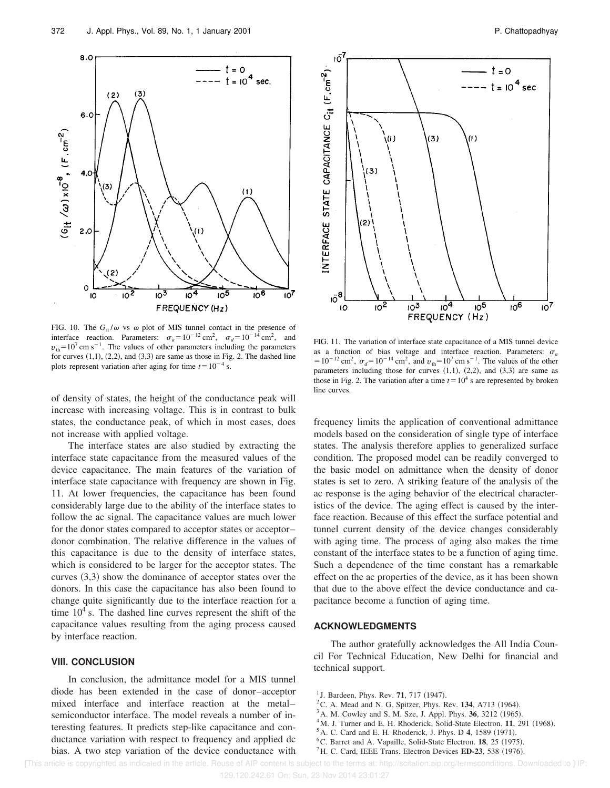

FIG. 10. The  $G_{\rm it}/\omega$  vs  $\omega$  plot of MIS tunnel contact in the presence of interface reaction. Parameters:  $\sigma_a = 10^{-12} \text{ cm}^2$ ,  $\sigma_d = 10^{-14} \text{ cm}^2$ , and  $v_{\text{th}}$ =10<sup>7</sup> cm s<sup>-1</sup>. The values of other parameters including the parameters for curves  $(1,1)$ ,  $(2,2)$ , and  $(3,3)$  are same as those in Fig. 2. The dashed line plots represent variation after aging for time  $t=10^{-4}$  s.

of density of states, the height of the conductance peak will increase with increasing voltage. This is in contrast to bulk states, the conductance peak, of which in most cases, does not increase with applied voltage.

The interface states are also studied by extracting the interface state capacitance from the measured values of the device capacitance. The main features of the variation of interface state capacitance with frequency are shown in Fig. 11. At lower frequencies, the capacitance has been found considerably large due to the ability of the interface states to follow the ac signal. The capacitance values are much lower for the donor states compared to acceptor states or acceptor– donor combination. The relative difference in the values of this capacitance is due to the density of interface states, which is considered to be larger for the acceptor states. The curves  $(3,3)$  show the dominance of acceptor states over the donors. In this case the capacitance has also been found to change quite significantly due to the interface reaction for a time  $10<sup>4</sup>$  s. The dashed line curves represent the shift of the capacitance values resulting from the aging process caused by interface reaction.

## **VIII. CONCLUSION**

In conclusion, the admittance model for a MIS tunnel diode has been extended in the case of donor–acceptor mixed interface and interface reaction at the metal– semiconductor interface. The model reveals a number of interesting features. It predicts step-like capacitance and conductance variation with respect to frequency and applied dc bias. A two step variation of the device conductance with



FIG. 11. The variation of interface state capacitance of a MIS tunnel device as a function of bias voltage and interface reaction. Parameters:  $\sigma_a$  $=10^{-12}$  cm<sup>2</sup>,  $\sigma_d = 10^{-14}$  cm<sup>2</sup>, and  $v_{\text{th}} = 10^7$  cm s<sup>-1</sup>. The values of the other parameters including those for curves  $(1,1)$ ,  $(2,2)$ , and  $(3,3)$  are same as those in Fig. 2. The variation after a time  $t=10^4$  s are represented by broken line curves.

frequency limits the application of conventional admittance models based on the consideration of single type of interface states. The analysis therefore applies to generalized surface condition. The proposed model can be readily converged to the basic model on admittance when the density of donor states is set to zero. A striking feature of the analysis of the ac response is the aging behavior of the electrical characteristics of the device. The aging effect is caused by the interface reaction. Because of this effect the surface potential and tunnel current density of the device changes considerably with aging time. The process of aging also makes the time constant of the interface states to be a function of aging time. Such a dependence of the time constant has a remarkable effect on the ac properties of the device, as it has been shown that due to the above effect the device conductance and capacitance become a function of aging time.

## **ACKNOWLEDGMENTS**

The author gratefully acknowledges the All India Council For Technical Education, New Delhi for financial and technical support.

- $1$  J. Bardeen, Phys. Rev. **71**, 717 (1947).
- ${}^{2}$ C. A. Mead and N. G. Spitzer, Phys. Rev. 134, A713 (1964).
- <sup>3</sup> A. M. Cowley and S. M. Sze, J. Appl. Phys. 36, 3212 (1965).
- <sup>4</sup>M. J. Turner and E. H. Rhoderick, Solid-State Electron. **11**, 291 (1968).
- <sup>5</sup> A. C. Card and E. H. Rhoderick, J. Phys. D 4, 1589 (1971).
- <sup>6</sup>C. Barret and A. Vapaille, Solid-State Electron. **18**, 25 (1975).
- <sup>7</sup>H. C. Card, IEEE Trans. Electron Devices **ED-23**, 538  $(1976)$ .